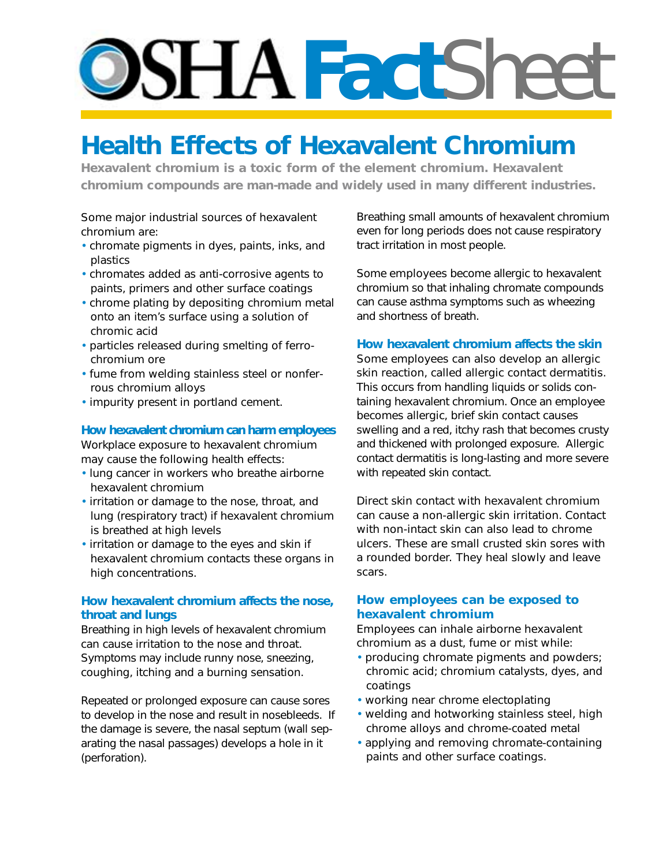# **DSHAFact**Shee

# **Health Effects of Hexavalent Chromium**

**Hexavalent chromium is a toxic form of the element chromium. Hexavalent chromium compounds are man-made and widely used in many different industries.**

Some major industrial sources of hexavalent chromium are:

- chromate pigments in dyes, paints, inks, and plastics
- chromates added as anti-corrosive agents to paints, primers and other surface coatings
- chrome plating by depositing chromium metal onto an item's surface using a solution of chromic acid
- particles released during smelting of ferrochromium ore
- fume from welding stainless steel or nonferrous chromium alloys
- impurity present in portland cement.

### **How hexavalent chromium can harm employees**

Workplace exposure to hexavalent chromium may cause the following health effects:

- lung cancer in workers who breathe airborne hexavalent chromium
- irritation or damage to the nose, throat, and lung (respiratory tract) if hexavalent chromium is breathed at high levels
- irritation or damage to the eyes and skin if hexavalent chromium contacts these organs in high concentrations.

# **How hexavalent chromium affects the nose, throat and lungs**

Breathing in high levels of hexavalent chromium can cause irritation to the nose and throat. Symptoms may include runny nose, sneezing, coughing, itching and a burning sensation.

Repeated or prolonged exposure can cause sores to develop in the nose and result in nosebleeds. If the damage is severe, the nasal septum (wall separating the nasal passages) develops a hole in it (perforation).

Breathing small amounts of hexavalent chromium even for long periods does not cause respiratory tract irritation in most people.

Some employees become allergic to hexavalent chromium so that inhaling chromate compounds can cause asthma symptoms such as wheezing and shortness of breath.

### **How hexavalent chromium affects the skin**

Some employees can also develop an allergic skin reaction, called allergic contact dermatitis. This occurs from handling liquids or solids containing hexavalent chromium. Once an employee becomes allergic, brief skin contact causes swelling and a red, itchy rash that becomes crusty and thickened with prolonged exposure. Allergic contact dermatitis is long-lasting and more severe with repeated skin contact.

Direct skin contact with hexavalent chromium can cause a non-allergic skin irritation. Contact with non-intact skin can also lead to chrome ulcers. These are small crusted skin sores with a rounded border. They heal slowly and leave scars.

### **How employees can be exposed to hexavalent chromium**

Employees can inhale airborne hexavalent chromium as a dust, fume or mist while:

- producing chromate pigments and powders; chromic acid; chromium catalysts, dyes, and coatings
- working near chrome electoplating
- welding and hotworking stainless steel, high chrome alloys and chrome-coated metal
- applying and removing chromate-containing paints and other surface coatings.